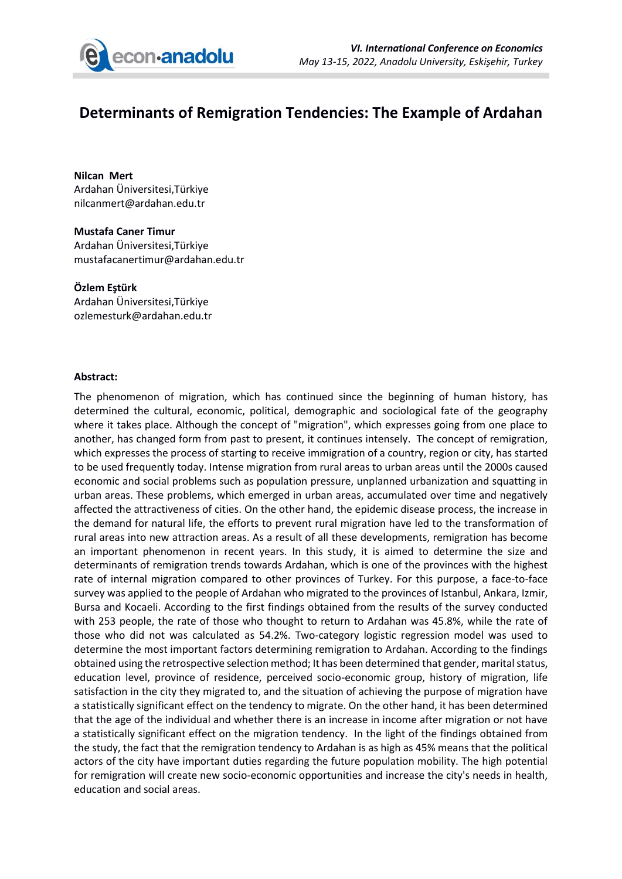

## **Determinants of Remigration Tendencies: The Example of Ardahan**

**Nilcan Mert** Ardahan Üniversitesi,Türkiye nilcanmert@ardahan.edu.tr

**Mustafa Caner Timur** Ardahan Üniversitesi,Türkiye mustafacanertimur@ardahan.edu.tr

**Özlem Eştürk** Ardahan Üniversitesi,Türkiye ozlemesturk@ardahan.edu.tr

## **Abstract:**

The phenomenon of migration, which has continued since the beginning of human history, has determined the cultural, economic, political, demographic and sociological fate of the geography where it takes place. Although the concept of "migration", which expresses going from one place to another, has changed form from past to present, it continues intensely. The concept of remigration, which expresses the process of starting to receive immigration of a country, region or city, has started to be used frequently today. Intense migration from rural areas to urban areas until the 2000s caused economic and social problems such as population pressure, unplanned urbanization and squatting in urban areas. These problems, which emerged in urban areas, accumulated over time and negatively affected the attractiveness of cities. On the other hand, the epidemic disease process, the increase in the demand for natural life, the efforts to prevent rural migration have led to the transformation of rural areas into new attraction areas. As a result of all these developments, remigration has become an important phenomenon in recent years. In this study, it is aimed to determine the size and determinants of remigration trends towards Ardahan, which is one of the provinces with the highest rate of internal migration compared to other provinces of Turkey. For this purpose, a face-to-face survey was applied to the people of Ardahan who migrated to the provinces of Istanbul, Ankara, Izmir, Bursa and Kocaeli. According to the first findings obtained from the results of the survey conducted with 253 people, the rate of those who thought to return to Ardahan was 45.8%, while the rate of those who did not was calculated as 54.2%. Two-category logistic regression model was used to determine the most important factors determining remigration to Ardahan. According to the findings obtained using the retrospective selection method; It has been determined that gender, marital status, education level, province of residence, perceived socio-economic group, history of migration, life satisfaction in the city they migrated to, and the situation of achieving the purpose of migration have a statistically significant effect on the tendency to migrate. On the other hand, it has been determined that the age of the individual and whether there is an increase in income after migration or not have a statistically significant effect on the migration tendency. In the light of the findings obtained from the study, the fact that the remigration tendency to Ardahan is as high as 45% means that the political actors of the city have important duties regarding the future population mobility. The high potential for remigration will create new socio-economic opportunities and increase the city's needs in health, education and social areas.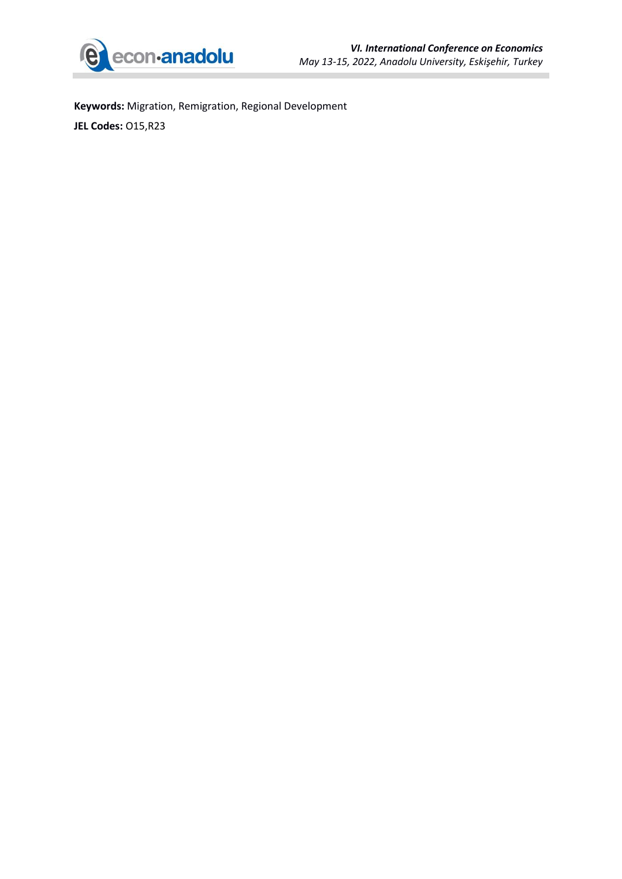

ï

**Keywords:** Migration, Remigration, Regional Development **JEL Codes:** O15,R23